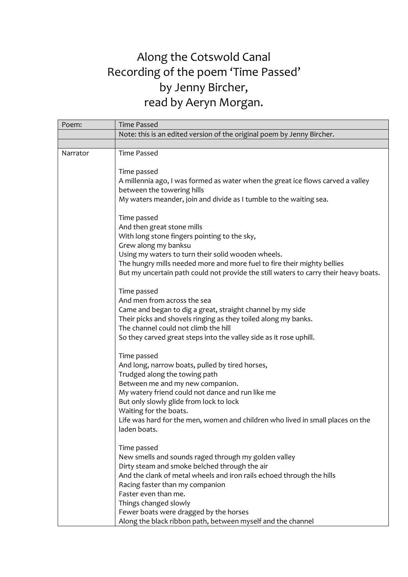## Along the Cotswold Canal Recording of the poem 'Time Passed' by Jenny Bircher, read by Aeryn Morgan.

| Poem:    | <b>Time Passed</b>                                                                                                            |
|----------|-------------------------------------------------------------------------------------------------------------------------------|
|          | Note: this is an edited version of the original poem by Jenny Bircher.                                                        |
|          |                                                                                                                               |
| Narrator | <b>Time Passed</b>                                                                                                            |
|          | Time passed                                                                                                                   |
|          | A millennia ago, I was formed as water when the great ice flows carved a valley                                               |
|          | between the towering hills                                                                                                    |
|          | My waters meander, join and divide as I tumble to the waiting sea.                                                            |
|          | Time passed                                                                                                                   |
|          | And then great stone mills                                                                                                    |
|          | With long stone fingers pointing to the sky,                                                                                  |
|          | Grew along my banksu                                                                                                          |
|          | Using my waters to turn their solid wooden wheels.<br>The hungry mills needed more and more fuel to fire their mighty bellies |
|          | But my uncertain path could not provide the still waters to carry their heavy boats.                                          |
|          |                                                                                                                               |
|          | Time passed                                                                                                                   |
|          | And men from across the sea                                                                                                   |
|          | Came and began to dig a great, straight channel by my side                                                                    |
|          | Their picks and shovels ringing as they toiled along my banks.                                                                |
|          | The channel could not climb the hill                                                                                          |
|          | So they carved great steps into the valley side as it rose uphill.                                                            |
|          | Time passed                                                                                                                   |
|          | And long, narrow boats, pulled by tired horses,                                                                               |
|          | Trudged along the towing path                                                                                                 |
|          | Between me and my new companion.                                                                                              |
|          | My watery friend could not dance and run like me                                                                              |
|          | But only slowly glide from lock to lock<br>Waiting for the boats.                                                             |
|          | Life was hard for the men, women and children who lived in small places on the                                                |
|          | laden boats.                                                                                                                  |
|          | Time passed                                                                                                                   |
|          | New smells and sounds raged through my golden valley                                                                          |
|          | Dirty steam and smoke belched through the air                                                                                 |
|          | And the clank of metal wheels and iron rails echoed through the hills                                                         |
|          | Racing faster than my companion                                                                                               |
|          | Faster even than me.                                                                                                          |
|          | Things changed slowly                                                                                                         |
|          | Fewer boats were dragged by the horses                                                                                        |
|          | Along the black ribbon path, between myself and the channel                                                                   |